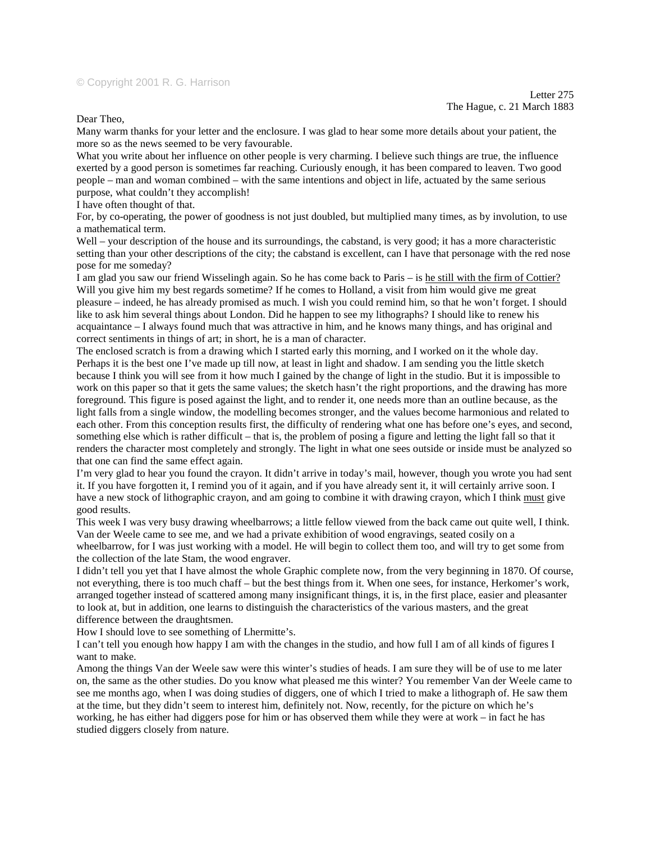## © Copyright 2001 R. G. Harrison

Dear Theo,

Many warm thanks for your letter and the enclosure. I was glad to hear some more details about your patient, the more so as the news seemed to be very favourable.

What you write about her influence on other people is very charming. I believe such things are true, the influence exerted by a good person is sometimes far reaching. Curiously enough, it has been compared to leaven. Two good people – man and woman combined – with the same intentions and object in life, actuated by the same serious purpose, what couldn't they accomplish!

I have often thought of that.

For, by co-operating, the power of goodness is not just doubled, but multiplied many times, as by involution, to use a mathematical term.

Well – your description of the house and its surroundings, the cabstand, is very good; it has a more characteristic setting than your other descriptions of the city; the cabstand is excellent, can I have that personage with the red nose pose for me someday?

I am glad you saw our friend Wisselingh again. So he has come back to Paris – is he still with the firm of Cottier? Will you give him my best regards sometime? If he comes to Holland, a visit from him would give me great pleasure – indeed, he has already promised as much. I wish you could remind him, so that he won't forget. I should like to ask him several things about London. Did he happen to see my lithographs? I should like to renew his acquaintance – I always found much that was attractive in him, and he knows many things, and has original and correct sentiments in things of art; in short, he is a man of character.

The enclosed scratch is from a drawing which I started early this morning, and I worked on it the whole day. Perhaps it is the best one I've made up till now, at least in light and shadow. I am sending you the little sketch because I think you will see from it how much I gained by the change of light in the studio. But it is impossible to work on this paper so that it gets the same values; the sketch hasn't the right proportions, and the drawing has more foreground. This figure is posed against the light, and to render it, one needs more than an outline because, as the light falls from a single window, the modelling becomes stronger, and the values become harmonious and related to each other. From this conception results first, the difficulty of rendering what one has before one's eyes, and second, something else which is rather difficult – that is, the problem of posing a figure and letting the light fall so that it renders the character most completely and strongly. The light in what one sees outside or inside must be analyzed so that one can find the same effect again.

I'm very glad to hear you found the crayon. It didn't arrive in today's mail, however, though you wrote you had sent it. If you have forgotten it, I remind you of it again, and if you have already sent it, it will certainly arrive soon. I have a new stock of lithographic crayon, and am going to combine it with drawing crayon, which I think must give good results.

This week I was very busy drawing wheelbarrows; a little fellow viewed from the back came out quite well, I think. Van der Weele came to see me, and we had a private exhibition of wood engravings, seated cosily on a wheelbarrow, for I was just working with a model. He will begin to collect them too, and will try to get some from the collection of the late Stam, the wood engraver.

I didn't tell you yet that I have almost the whole Graphic complete now, from the very beginning in 1870. Of course, not everything, there is too much chaff – but the best things from it. When one sees, for instance, Herkomer's work, arranged together instead of scattered among many insignificant things, it is, in the first place, easier and pleasanter to look at, but in addition, one learns to distinguish the characteristics of the various masters, and the great difference between the draughtsmen.

How I should love to see something of Lhermitte's.

I can't tell you enough how happy I am with the changes in the studio, and how full I am of all kinds of figures I want to make.

Among the things Van der Weele saw were this winter's studies of heads. I am sure they will be of use to me later on, the same as the other studies. Do you know what pleased me this winter? You remember Van der Weele came to see me months ago, when I was doing studies of diggers, one of which I tried to make a lithograph of. He saw them at the time, but they didn't seem to interest him, definitely not. Now, recently, for the picture on which he's working, he has either had diggers pose for him or has observed them while they were at work – in fact he has studied diggers closely from nature.